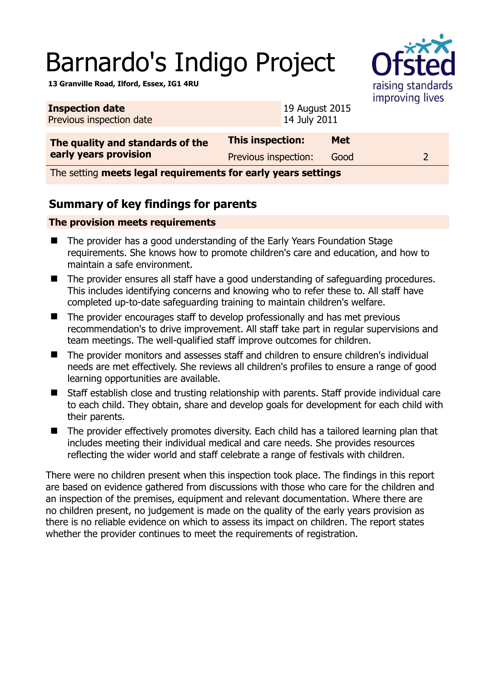# Barnardo's Indigo Project

raising standards improving lives

**13 Granville Road, Ilford, Essex, IG1 4RU** 

| <b>Inspection date</b><br>Previous inspection date |                      | 19 August 2015<br>14 July 2011 |            | $$ p $$ $$ $$ $$ $$ |
|----------------------------------------------------|----------------------|--------------------------------|------------|---------------------|
| The quality and standards of the                   | This inspection:     |                                | <b>Met</b> |                     |
| early years provision                              | Previous inspection: |                                | Good       |                     |

The setting **meets legal requirements for early years settings**

## **Summary of key findings for parents**

#### **The provision meets requirements**

- The provider has a good understanding of the Early Years Foundation Stage requirements. She knows how to promote children's care and education, and how to maintain a safe environment.
- The provider ensures all staff have a good understanding of safeguarding procedures. This includes identifying concerns and knowing who to refer these to. All staff have completed up-to-date safeguarding training to maintain children's welfare.
- The provider encourages staff to develop professionally and has met previous recommendation's to drive improvement. All staff take part in regular supervisions and team meetings. The well-qualified staff improve outcomes for children.
- The provider monitors and assesses staff and children to ensure children's individual needs are met effectively. She reviews all children's profiles to ensure a range of good learning opportunities are available.
- Staff establish close and trusting relationship with parents. Staff provide individual care to each child. They obtain, share and develop goals for development for each child with their parents.
- The provider effectively promotes diversity. Each child has a tailored learning plan that includes meeting their individual medical and care needs. She provides resources reflecting the wider world and staff celebrate a range of festivals with children.

There were no children present when this inspection took place. The findings in this report are based on evidence gathered from discussions with those who care for the children and an inspection of the premises, equipment and relevant documentation. Where there are no children present, no judgement is made on the quality of the early years provision as there is no reliable evidence on which to assess its impact on children. The report states whether the provider continues to meet the requirements of registration.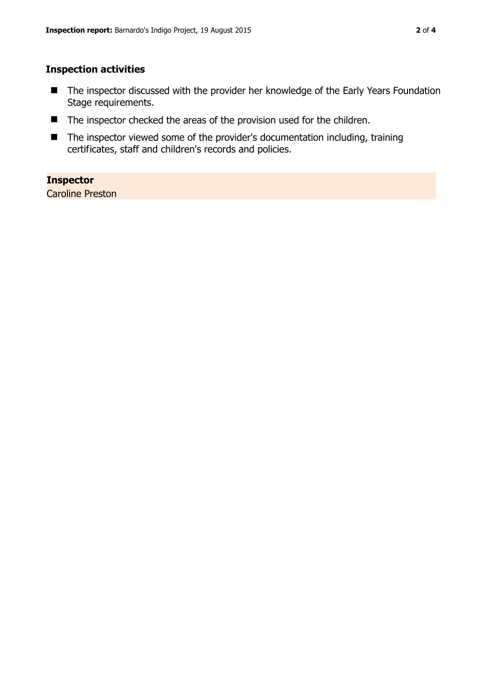### **Inspection activities**

- The inspector discussed with the provider her knowledge of the Early Years Foundation Stage requirements.
- The inspector checked the areas of the provision used for the children.
- The inspector viewed some of the provider's documentation including, training certificates, staff and children's records and policies.

#### **Inspector**

Caroline Preston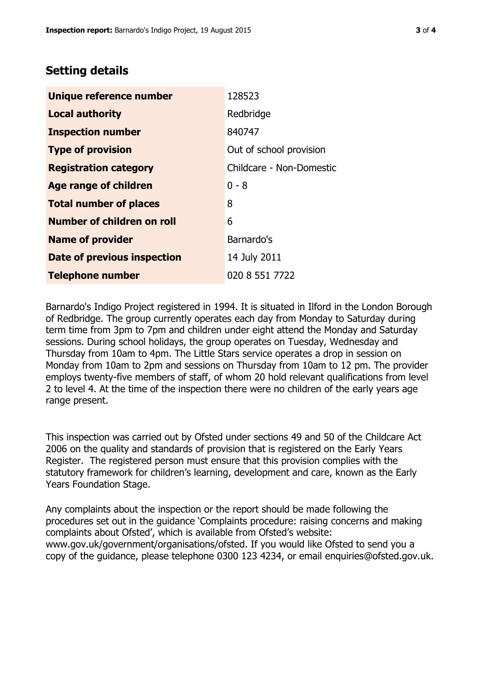## **Setting details**

| Unique reference number       | 128523                   |
|-------------------------------|--------------------------|
| <b>Local authority</b>        | Redbridge                |
| <b>Inspection number</b>      | 840747                   |
| <b>Type of provision</b>      | Out of school provision  |
| <b>Registration category</b>  | Childcare - Non-Domestic |
| <b>Age range of children</b>  | $0 - 8$                  |
| <b>Total number of places</b> | 8                        |
| Number of children on roll    | 6                        |
| <b>Name of provider</b>       | Barnardo's               |
| Date of previous inspection   | 14 July 2011             |
| <b>Telephone number</b>       | 020 8 551 7722           |

Barnardo's Indigo Project registered in 1994. It is situated in Ilford in the London Borough of Redbridge. The group currently operates each day from Monday to Saturday during term time from 3pm to 7pm and children under eight attend the Monday and Saturday sessions. During school holidays, the group operates on Tuesday, Wednesday and Thursday from 10am to 4pm. The Little Stars service operates a drop in session on Monday from 10am to 2pm and sessions on Thursday from 10am to 12 pm. The provider employs twenty-five members of staff, of whom 20 hold relevant qualifications from level 2 to level 4. At the time of the inspection there were no children of the early years age range present.

This inspection was carried out by Ofsted under sections 49 and 50 of the Childcare Act 2006 on the quality and standards of provision that is registered on the Early Years Register. The registered person must ensure that this provision complies with the statutory framework for children's learning, development and care, known as the Early Years Foundation Stage.

Any complaints about the inspection or the report should be made following the procedures set out in the guidance 'Complaints procedure: raising concerns and making complaints about Ofsted', which is available from Ofsted's website: www.gov.uk/government/organisations/ofsted. If you would like Ofsted to send you a copy of the guidance, please telephone 0300 123 4234, or email enquiries@ofsted.gov.uk.